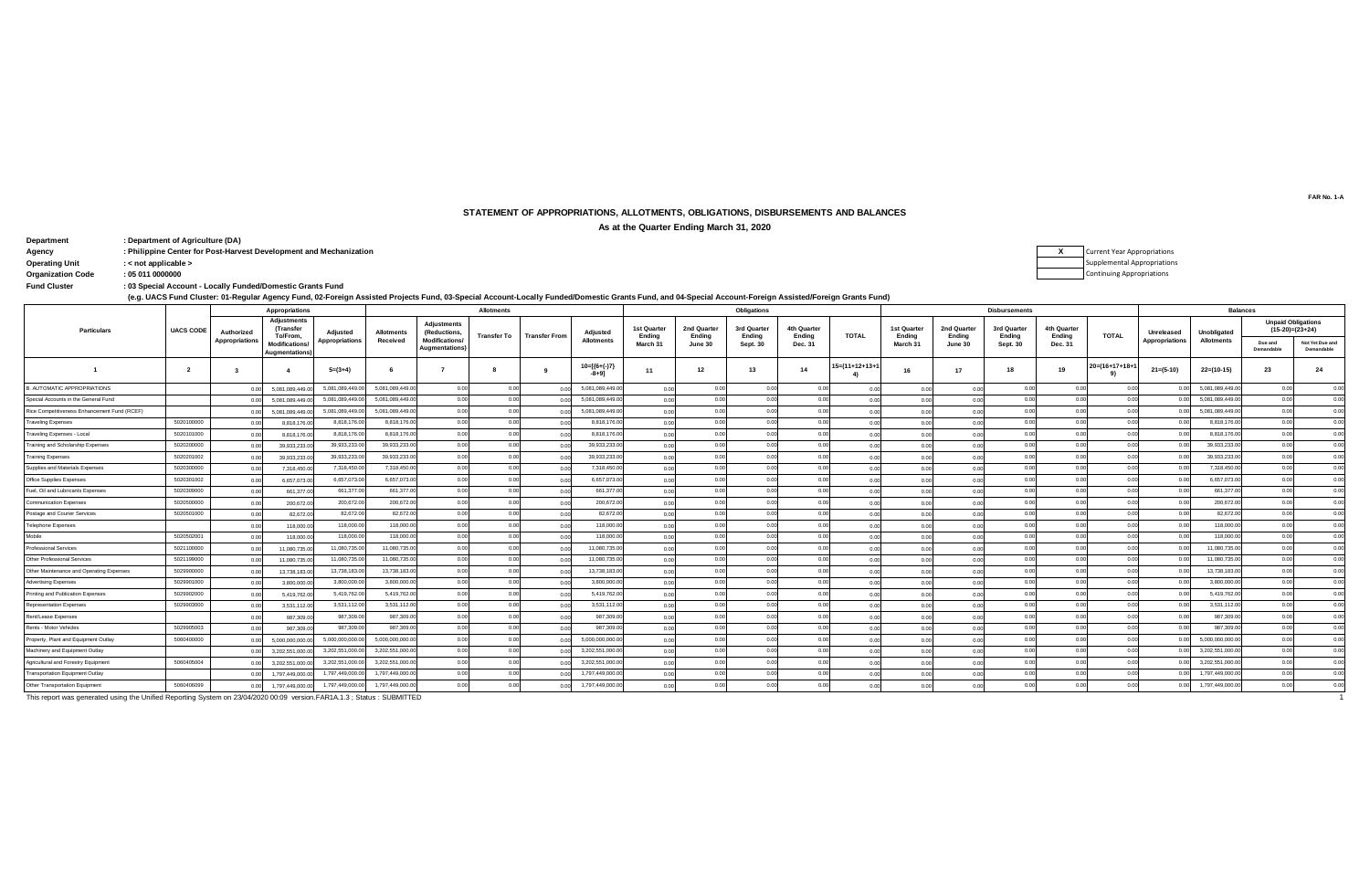## **STATEMENT OF APPROPRIATIONS, ALLOTMENTS, OBLIGATIONS, DISBURSEMENTS AND BALANCES**

**As at the Quarter Ending March 31, 2020**

**: Department Department of Agriculture (DA) Agency :** Philippine Center for Post-Harvest Development and Mechanization Operating Unit  $\cdot$  < not applicable > **Operating Unit : < not applicable > Organization Code : 05 011 0000000**

| <b>Current Year Appropriations</b> |
|------------------------------------|
| <b>Supplemental Appropriations</b> |
| <b>Continuing Appropriations</b>   |

**: Fund Cluster 03 Special Account - Locally Funded/Domestic Grants Fund**

**(e.g. UACS Fund Cluster: 01-Regular Agency Fund, 02-Foreign Assisted Projects Fund, 03-Special Account-Locally Funded/Domestic Grants Fund, and 04-Special Account-Foreign Assisted/Foreign Grants Fund)**

|                                              |                  |                | <b>Appropriations</b>                       |                 | <b>Allotments</b> |                                        |             |                |                                     | <b>Obligations</b>                       |                       |                       |                       |                |                                   |                            | <b>Disbursements</b>  |                       | <b>Balances</b> |                       |                   |                            |                                                |
|----------------------------------------------|------------------|----------------|---------------------------------------------|-----------------|-------------------|----------------------------------------|-------------|----------------|-------------------------------------|------------------------------------------|-----------------------|-----------------------|-----------------------|----------------|-----------------------------------|----------------------------|-----------------------|-----------------------|-----------------|-----------------------|-------------------|----------------------------|------------------------------------------------|
| <b>Particulars</b>                           | <b>UACS CODE</b> | Authorized     | <b>Adjustments</b><br>(Transfer<br>To/From, | Adjusted        | <b>Allotments</b> | <b>Adjustments</b><br>(Reductions,     | Transfer To | Transfer From  | Adjusted<br><b>Allotments</b>       | <b>1st Quarter</b><br>Ending<br>March 31 | 2nd Quarter<br>Ending | 3rd Quarter<br>Ending | 4th Quarter<br>Ending | <b>TOTAL</b>   | 1st Quarter<br>Ending<br>March 31 | 2nd Quarter<br>Ending      | 3rd Quarter<br>Ending | 4th Quarter<br>Ending | <b>TOTAL</b>    | Unreleased            | Unobligated       |                            | <b>Unpaid Obligations</b><br>$(15-20)=(23+24)$ |
|                                              |                  | Appropriations | <b>Modifications</b><br>Augmentations)      | Appropriations  | Received          | <b>Modifications</b><br>Augmentations) |             |                |                                     |                                          | June 30               | <b>Sept. 30</b>       | Dec. 31               |                |                                   | June 30                    | <b>Sept. 30</b>       | Dec. 31               |                 | <b>Appropriations</b> | <b>Allotments</b> | Due and<br>Demandable      | Not Yet Due and<br>Demandable                  |
|                                              | $\overline{2}$   |                |                                             | $5=(3+4)$       |                   |                                        |             |                | $10 = {\frac{6+(-)}{7}}$<br>$-8+91$ | 11                                       | 12                    | 13                    | 14                    | I5=(11+12+13+1 | 16                                | 17                         | 18                    | 19                    | 20=(16+17+18+   | $21 = (5-10)$         | $22=(10-15)$      | 23                         | 24                                             |
| B. AUTOMATIC APPROPRIATIONS                  |                  |                | 5.081.089.449.                              | 5.081.089.449.0 | 5.081.089.449.0   | 0.00                                   | 0.00        |                | 5.081.089.449.0                     | 0.00                                     | 0.00                  | 0.00                  | 0.00                  | 0.00           | 0.00                              | 0.00                       | 0.00                  | 0.00                  | 0.00            | 0.OI                  | 5.081.089.449.00  | 0.00                       | 0.00                                           |
| Special Accounts in the General Fund         |                  |                | 5.081.089.449.                              | 5.081.089.449.0 | 5.081.089.449.0   | 0.00                                   | 00          | 0.00           | 5,081,089,449.0                     | 0.00                                     |                       | 0.00                  | 0.00                  | 0.00           | 00                                |                            | 0.00                  |                       | 0.00            |                       | 5.081.089.449.00  | 0 <sub>0</sub>             | 0.00                                           |
| Rice Competitiveness Enhancement Fund (RCEF) |                  |                | 5.081.089.449.                              | 5.081.089.449.  | 5.081.089.449.0   | 0.00                                   | 00          | 0.00           | 5.081.089.449.0                     | 0.00                                     |                       | 0.00                  | 0.00                  | 0.00           | 0 <sub>0</sub>                    |                            | 0.OC                  |                       | 0.00            | 00                    | 5.081.089.449.00  | 0 <sup>0<sup>c</sup></sup> | 0.00                                           |
| <b>Traveling Expenses</b>                    | 5020100000       |                | 8.818.176.0                                 | 8,818,176.0     | 8,818,176.0       | 0.00                                   | 0.00        | 0.00           | 8.818.176.0                         | 0.00                                     | 0.00                  | 0.00                  | 0.00                  | 0.00           | 0.00                              |                            | 0.00                  |                       | 0.00            | 0.01                  | 8,818,176.0       | 0 <sup>0<sup>c</sup></sup> | 0.00                                           |
| Traveling Expenses - Local                   | 5020101000       |                | 8,818,176.0                                 | 8,818,176.0     | 8.818.176.0       | 0.00                                   | 00          | 0.00           | 8.818.176.0                         | 0.00                                     |                       | 0.00                  | 0.00                  | 0.00           | 0.0                               |                            |                       | 0 <sub>0</sub>        | 0.00            |                       | 8.818.176.0       | 0 <sup>0<sup>c</sup></sup> | 0.00                                           |
| Training and Scholarship Expenses            | 5020200000       |                | 39,933,233.                                 | 39,933,233.0    | 39,933,233.0      | 0.00                                   | 00          | 0.00           | 39.933.233.0                        | 0.00                                     | 0.00                  | 0.00                  | 0.00                  | 0.00           | 0.00                              | 0 <sup>0<sup>c</sup></sup> | 0.00                  | 0.00                  | 0.00            | 0.01                  | 39,933,233.0      | 0.00                       | 0.00                                           |
| <b>Training Expenses</b>                     | 5020201002       |                | 39,933,233.0                                | 39.933.233.0    | 39.933.233.0      | 0.00                                   | 00          | 0.00           | 39.933.233.0                        | 0.00                                     | 0.00                  | 0.00                  | 0.00                  | 0.00           | 0.00                              |                            | 0.00                  | 0.00                  | 0.00            | 0 <sup>0</sup>        | 39.933.233.0      | 0 <sup>0<sup>c</sup></sup> | 0.00                                           |
| Supplies and Materials Expenses              | 5020300000       |                | 7.318.450.0                                 | 7,318,450.0     | 7.318.450.0       | 0.00                                   | 00          | 0.00           | 7.318.450.0                         | 0.00                                     | 0.00                  | 0.00                  | 0.00                  | 0.00           | 0.00                              |                            | 0.00                  |                       | 0.00            | 00                    | 7,318,450.00      | 0.00                       | 0.00                                           |
| Office Supplies Expenses                     | 5020301002       |                | 6.657.073.                                  | 6,657,073.0     | 6,657,073.0       | 0.00                                   | 00          | 0.0            | 6,657,073.0                         | 0.00                                     | 0.00                  | 0.00                  | 0.00                  | 0.00           | 0.00                              |                            | 0.00                  | 0.00                  | 0.00            | 0.01                  | 6,657,073.0       | 0.00                       | 0.00                                           |
| Fuel, Oil and Lubricants Expenses            | 5020309000       |                | 661,377.                                    | 661,377.0       | 661,377.0         | 0.00                                   | 00          | 0.0            | 661,377.0                           | 0.00                                     | 0.00                  | 0.00                  | 0.00                  | 0.00           | 0.00                              |                            | 0.00                  | 0.00                  | 0.00            | 0 <sup>0</sup>        | 661,377.0         | 0.00                       | 0.00                                           |
| <b>Communication Expenses</b>                | 5020500000       | 0 <sub>0</sub> | 200,672.0                                   | 200,672.0       | 200,672.00        | 0.00                                   | 0.00        | 0.00           | 200,672.00                          | 0.00                                     | 0.00                  | 0.00                  | 0.00                  | 0.00           | 0.00                              | 0 <sup>0<sup>c</sup></sup> | 0.00                  | 0.00                  | 0.00            | 0.01                  | 200,672.00        | 0.00                       | 0.00                                           |
| Postage and Courier Services                 | 5020501000       | 00             | 82,672.0                                    | 82,672.0        | 82,672.00         | 0.00                                   | 0.00        | 0.00           | 82,672.00                           | 0.00                                     | 0.00                  | 0.00                  | 0.00                  | 0.00           | 0.00                              | 0 <sup>0<sup>c</sup></sup> | 0.00                  | 0.00                  | 0.00            | 0.00                  | 82,672.00         | 0.00                       | 0.00                                           |
| <b>Telephone Expenses</b>                    |                  |                | 118,000.0                                   | 118,000.00      | 118,000.0         | 0.00                                   | 00          | 0.00           | 118,000.00                          | 0.00                                     | 0.00                  | 0.00                  | 0.00                  | 0.00           | 0.00                              |                            | 0.00                  |                       | 0.00            | 000                   | 118,000.00        | 0 <sup>0<sup>c</sup></sup> | 0.00                                           |
| Mobile                                       | 5020502001       |                | 118,000.0                                   | 118,000.0       | 118,000.0         | 0.00                                   | 00          | 0.00           | 118,000.0                           | 0.00                                     | 0.00                  | 0.00                  | 0.00                  | 0.00           | 0.00                              |                            | 0.00                  | n no                  | 0.00            | 0.OI                  | 118,000.0         | 0 <sup>0<sup>c</sup></sup> | 0.00                                           |
| <b>Professional Services</b>                 | 5021100000       |                | 11.080.735.                                 | 11,080,735.0    | 11,080,735.0      | 0.00                                   | 0.00        | 0.0            | 11,080,735.0                        | 0.00                                     | 0.00                  | 0.00                  | 0.00                  | 0.00           | 0.00                              |                            | 0.00                  | 0.00                  | 0.00            |                       | 11,080,735.0      | 0.00                       | 0.00                                           |
| Other Professional Services                  | 5021199000       |                | 11.080.735.0                                | 11.080.735.0    | 11.080.735.0      | 0.00                                   | 0.00        | 0.00           | 11.080.735.0                        | 0.00                                     | 0.00                  | 0.00                  | 0.00                  | 0.00           | 0.00                              | 0 <sup>0<sup>c</sup></sup> | 0.00                  | 0.00                  | 0.00            | 0.01                  | 11.080.735.00     | 0.00                       | 0.00                                           |
| Other Maintenance and Operating Expenses     | 5029900000       |                | 13,738,183.                                 | 13,738,183.0    | 13,738,183.0      | 0.00                                   | 0.00        | 0 <sup>0</sup> | 13,738,183.0                        | 0.00                                     | 0.00                  | 0.00                  | 0.00                  | 0.00           | 0.00                              | 0.00                       | 0.00                  | 0.00                  | 0.00            | 00                    | 13,738,183.0      | 0.00                       | 0.00                                           |
| <b>Advertising Expenses</b>                  | 5029901000       |                | 3.800.000.0                                 | 3,800,000.0     | 3,800,000.0       | 0.00                                   | 0.00        | 0.00           | 3,800,000.0                         | 0.00                                     | 0.00                  | 0.00                  | 0.00                  | 0.00           | 0.00                              | 0.0C                       | 0.00                  | 0.00                  | 0.00            | 0.01                  | 3,800,000.00      | 0.00                       | 0.00                                           |
| Printing and Publication Expenses            | 5029902000       |                | 5.419.762.                                  | 5,419,762.0     | 5.419.762.0       | 0.00                                   | 00          | 0.0            | 5.419.762.0                         | 0.00                                     | 0.00                  | 0.00                  | 0.00                  | 0.00           | 0 <sub>0</sub>                    |                            | 0.00                  |                       | 0.00            | 0.01                  | 5.419.762.00      | 0 <sup>0</sup>             | 0.00                                           |
| <b>Representation Expenses</b>               | 5029903000       |                | 3.531.112.0                                 | 3,531,112.0     | 3,531,112.0       | 0.00                                   | 00          | 0.0            | 3,531,112.0                         | 0.00                                     |                       | 0.00                  | 0.00                  | 0.00           | 0 <sub>0</sub>                    |                            | 0.00                  |                       | 0 <sub>0</sub>  |                       | 3,531,112.0       | 0 <sup>0<sup>c</sup></sup> | 0.00                                           |
| Rent/Lease Expenses                          |                  |                | 987,309.0                                   | 987,309.00      | 987,309.0         | 0.00                                   | 0.0         | 0.00           | 987,309.00                          | 0.00                                     | 0.00                  | 0.00                  | 0.00                  | 0.00           | 0.00                              | 0 <sup>0<sup>c</sup></sup> | 0.00                  | 00                    | 0.00            | 0.01                  | 987,309.00        | 0.00                       | 0.00                                           |
| Rents - Motor Vehicles                       | 5029905003       | 00             | 987,309.0                                   | 987,309.0       | 987,309.00        | 0.00                                   | 0.00        | 0.00           | 987,309.00                          | 0.00                                     | 0.00                  | 0.00                  | 0.00                  | 0.00           | 0.00                              | 0.0C                       | 0.00                  | 0.00                  | 0.00            | 000                   | 987,309.00        | 0.00                       | 0.00                                           |
| Property, Plant and Equipment Outlay         | 5060400000       |                | 5.000.000.000.                              | 5.000.000.000.0 | 5.000.000.000.0   | 0.00                                   | 0.00        | 0.00           | 5,000,000,000.00                    | 0.00                                     | 0 <sub>0</sub>        | 0.00                  | 0.00                  | 0.00           | 0.00                              |                            | 0.00                  | 0.00                  | 0.00            | 0.00                  | 5,000,000,000.00  |                            | 0.00                                           |
| Machinery and Equipment Outlay               |                  |                | 3.202.551.000                               | 3.202.551.000.0 | 3.202.551.000.0   | 0.00                                   | 00          | 0.00           | 3,202,551,000.0                     | 0.00                                     |                       | 0.00                  | 0.00                  | 0.00           | 0 <sub>0</sub>                    |                            | 0.00                  |                       | 0.00            | 0.01                  | 3,202,551,000.0   | 0 <sup>0<sup>c</sup></sup> | 0.00                                           |
| Agricultural and Forestry Equipmen           | 5060405004       |                | 3,202,551,000                               | 3,202,551,000.  | 3.202.551.000.0   | 0.00                                   | 00          |                | 3,202,551,000.0                     | 0.00                                     |                       | 0.00                  | 0 <sub>0</sub>        | 0.00           |                                   |                            |                       |                       |                 |                       | 3,202,551,000.0   | 0 <sub>0</sub>             | 0.00                                           |
| <b>Transportation Equipment Outlay</b>       |                  |                | 1.797.449.000                               | 1.797.449.000.0 | 1,797,449,000.0   | 0.00                                   | 00          | 0.00           | 1,797,449,000.0                     | 0.00                                     |                       | 0.00                  | 0.00                  | 0.00           | 0 <sup>0</sup>                    | 0.00                       | 0.00                  |                       | 0.00            |                       | 1,797,449,000.0   | 0 <sup>0<sup>c</sup></sup> | 0.00                                           |
| Other Transportation Equipment               | 5060406099       |                | 1,797,449,000.00                            | 1,797,449,000.0 | 1.797.449.000.0   |                                        |             |                | 1,797,449,000.0                     | 0.00                                     |                       | 0.00                  |                       | 000            |                                   |                            |                       |                       |                 | 0.00                  | 1,797,449,000.0   |                            | 0 <sup>0<sup>c</sup></sup>                     |

This report was generated using the Unified Reporting System on 23/04/2020 00:09 version.FAR1A.1.3 ; Status : SUBMITTED 1

**FAR No. 1-A**